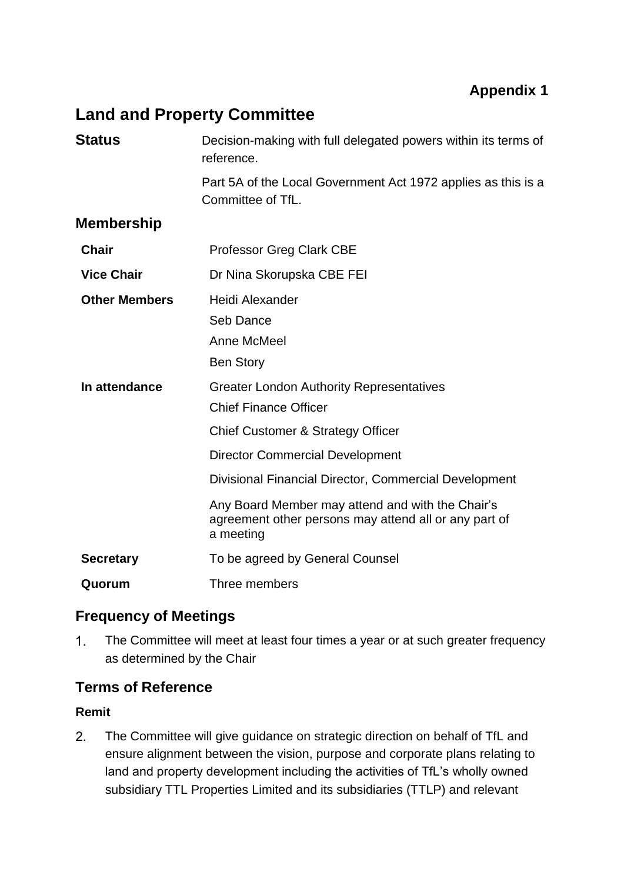# **Land and Property Committee**

| <b>Status</b>        | Decision-making with full delegated powers within its terms of<br>reference.                                                                                                    |
|----------------------|---------------------------------------------------------------------------------------------------------------------------------------------------------------------------------|
|                      | Part 5A of the Local Government Act 1972 applies as this is a<br>Committee of TfL.                                                                                              |
| <b>Membership</b>    |                                                                                                                                                                                 |
| <b>Chair</b>         | <b>Professor Greg Clark CBE</b>                                                                                                                                                 |
| <b>Vice Chair</b>    | Dr Nina Skorupska CBE FEI                                                                                                                                                       |
| <b>Other Members</b> | Heidi Alexander<br>Seb Dance<br>Anne McMeel<br><b>Ben Story</b>                                                                                                                 |
| In attendance        | <b>Greater London Authority Representatives</b><br><b>Chief Finance Officer</b><br>Chief Customer & Strategy Officer<br><b>Director Commercial Development</b>                  |
|                      | Divisional Financial Director, Commercial Development<br>Any Board Member may attend and with the Chair's<br>agreement other persons may attend all or any part of<br>a meeting |
| <b>Secretary</b>     | To be agreed by General Counsel                                                                                                                                                 |
| Quorum               | Three members                                                                                                                                                                   |

### **Frequency of Meetings**

 $1.$ The Committee will meet at least four times a year or at such greater frequency as determined by the Chair

### **Terms of Reference**

#### **Remit**

 $2.$ The Committee will give guidance on strategic direction on behalf of TfL and ensure alignment between the vision, purpose and corporate plans relating to land and property development including the activities of TfL's wholly owned subsidiary TTL Properties Limited and its subsidiaries (TTLP) and relevant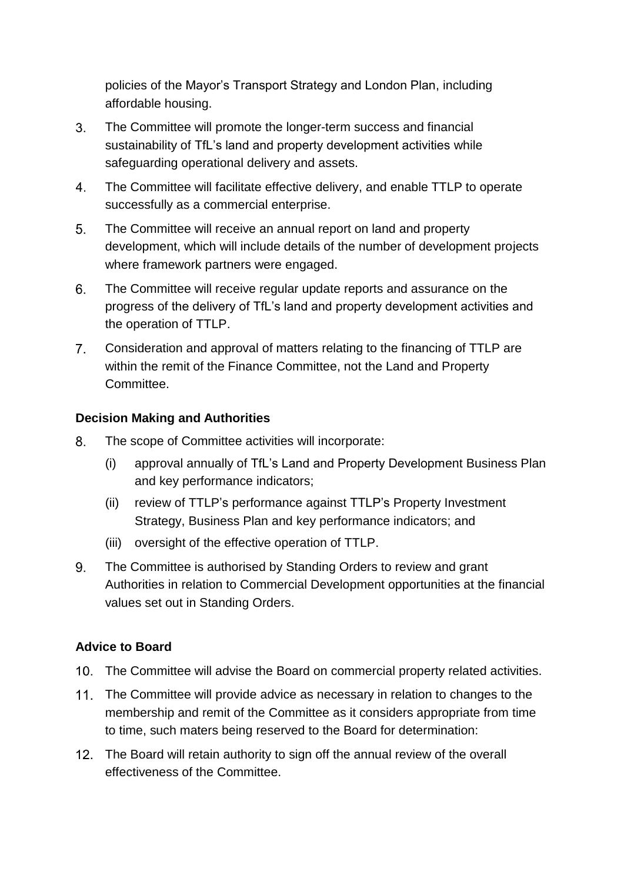policies of the Mayor's Transport Strategy and London Plan, including affordable housing.

- $3<sub>1</sub>$ The Committee will promote the longer-term success and financial sustainability of TfL's land and property development activities while safeguarding operational delivery and assets.
- $4.$ The Committee will facilitate effective delivery, and enable TTLP to operate successfully as a commercial enterprise.
- $5<sub>1</sub>$ The Committee will receive an annual report on land and property development, which will include details of the number of development projects where framework partners were engaged.
- 6. The Committee will receive regular update reports and assurance on the progress of the delivery of TfL's land and property development activities and the operation of TTLP.
- $7.$ Consideration and approval of matters relating to the financing of TTLP are within the remit of the Finance Committee, not the Land and Property Committee.

#### **Decision Making and Authorities**

- 8. The scope of Committee activities will incorporate:
	- (i) approval annually of TfL's Land and Property Development Business Plan and key performance indicators;
	- (ii) review of TTLP's performance against TTLP's Property Investment Strategy, Business Plan and key performance indicators; and
	- (iii) oversight of the effective operation of TTLP.
- 9. The Committee is authorised by Standing Orders to review and grant Authorities in relation to Commercial Development opportunities at the financial values set out in Standing Orders.

#### **Advice to Board**

- 10. The Committee will advise the Board on commercial property related activities.
- 11. The Committee will provide advice as necessary in relation to changes to the membership and remit of the Committee as it considers appropriate from time to time, such maters being reserved to the Board for determination:
- 12. The Board will retain authority to sign off the annual review of the overall effectiveness of the Committee.